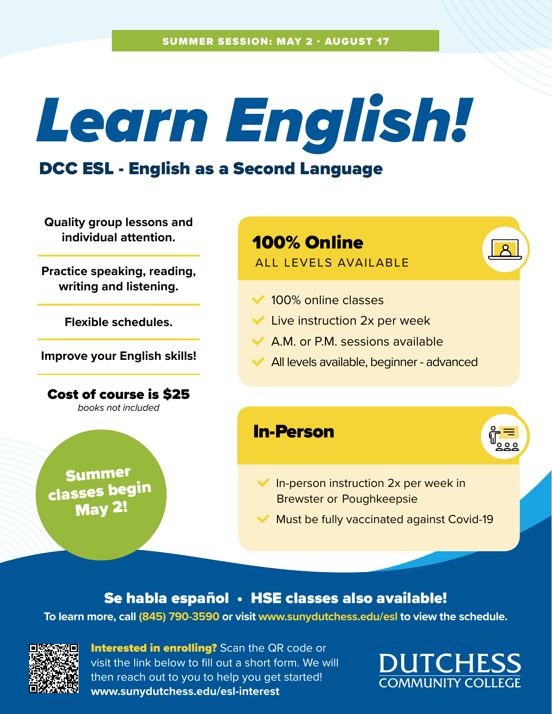# *Learn English!*

### DCC ESL - English as a Second Language

**Quality group lessons and individual attention.**

**Practice speaking, reading, writing and listening.**

**Flexible schedules.**

**Improve your English skills!**

Cost of course is \$25 books not included

Summer classes begin May 2!

# 100% Online

#### ALL LEVELS AVAILABLE

- **◆ 100% online classes**
- **► Live instruction 2x per week**
- $\blacktriangleright$  A.M. or P.M. sessions available
- All levels available, beginner advanced

#### In-Person



- $\blacktriangleright$  In-person instruction 2x per week in Brewster or Poughkeepsie
- Must be fully vaccinated against Covid-19

#### Se habla español • HSE classes also available!

#### **To learn more, call (845) 790-3590 or visit [www.sunydutchess.edu/esl](http://www.sunydutchess.edu/esl) to view the schedule.**



**Interested in enrolling?** Scan the QR code or visit the link below to fill out a short form. We will then reach out to you to help you get started! **[www.sunydutchess.edu/esl-interest](https://docs.google.com/forms/d/e/1FAIpQLSfnCzrXZxZj6qcTG-wnLNtNs9R1aBWmI0i7UfemSmdZVCII7g/viewform)**

**DUTCHESS COMMUNITY COLL**